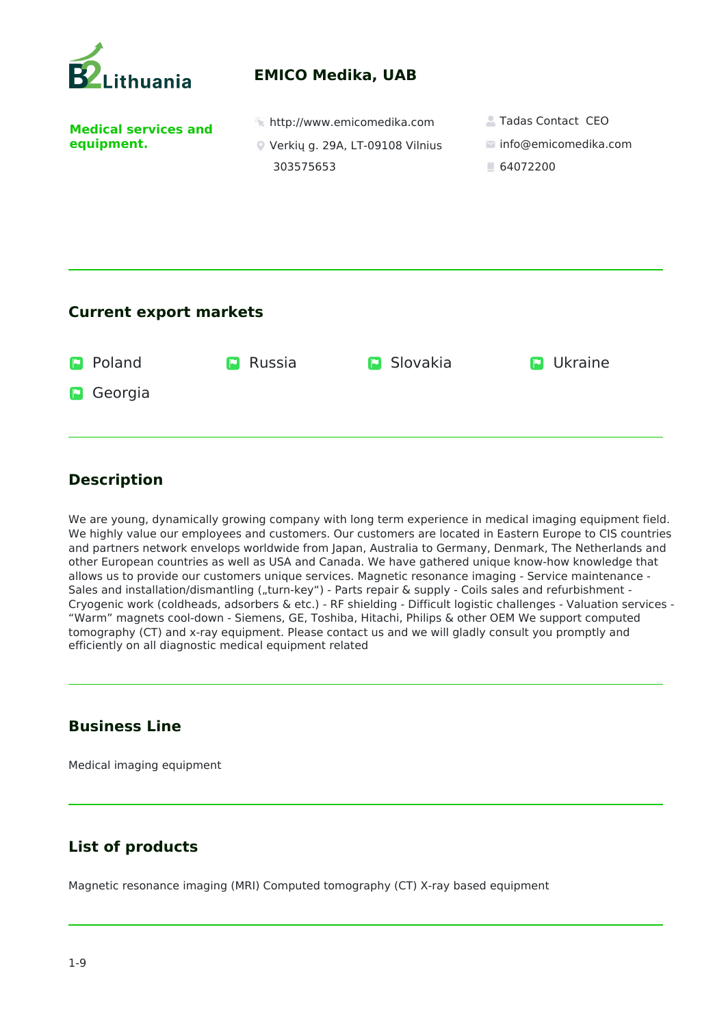

## **Description**

We are young, dynamically growing company with long term experience in medical imaging equipment field. We highly value our employees and customers. Our customers are located in Eastern Europe to CIS countries and partners network envelops worldwide from Japan, Australia to Germany, Denmark, The Netherlands and other European countries as well as USA and Canada. We have gathered unique know-how knowledge that allows us to provide our customers unique services. Magnetic resonance imaging - Service maintenance - Sales and installation/dismantling ("turn-key") - Parts repair & supply - Coils sales and refurbishment -Cryogenic work (coldheads, adsorbers & etc.) - RF shielding - Difficult logistic challenges - Valuation services - "Warm" magnets cool-down - Siemens, GE, Toshiba, Hitachi, Philips & other OEM We support computed tomography (CT) and x-ray equipment. Please contact us and we will gladly consult you promptly and efficiently on all diagnostic medical equipment related

## **Business Line**

Medical imaging equipment

## **List of products**

Magnetic resonance imaging (MRI) Computed tomography (CT) X-ray based equipment